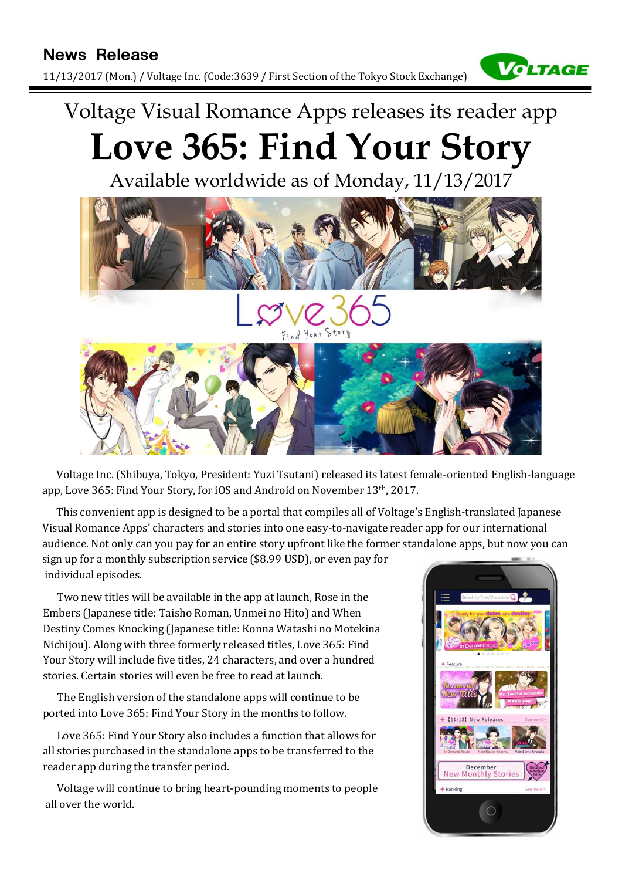11/13/2017 (Mon.) / Voltage Inc. (Code:3639 / First Section of the Tokyo Stock Exchange)



# Voltage Visual Romance Apps releases its reader app Love 365: Find Your Story

Available worldwide as of Monday, 11/13/2017



This convenient app is designed to be a portal that compiles all of Voltage's English-translated Japanese Visual Romance Apps' characters and stories into one easy-to-navigate reader app for our international audience. Not only can you pay for an entire story upfront like the former standalone apps, but now you can sign up for a monthly subscription service (\$8.99 USD), or even pay for

individual episodes.

Two new titles will be available in the app at launch, Rose in the Nichijou). Along with three formerly released titles, Love 365: Find Your Story will include five titles, 24 characters, and over a hundred stories. Certain stories will even be free to read at launch.

The English version of the standalone apps will continue to be ported into Love 365: Find Your Story in the months to follow.

Love 365: Find Your Story also includes a function that allows for all stories purchased in the standalone apps to be transferred to the reader app during the transfer period.

Voltage will continue to bring heart-pounding moments to people all over the world.

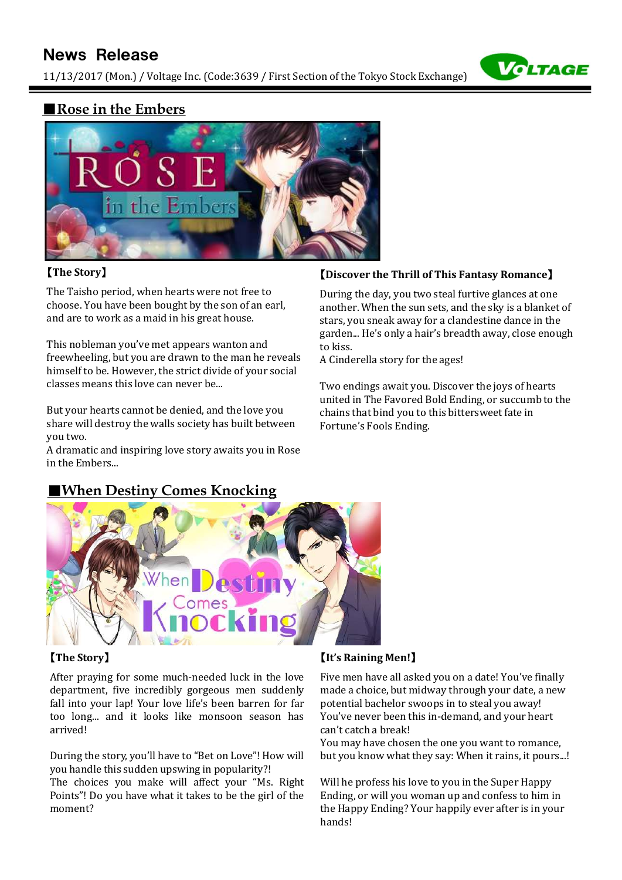# News Release

11/13/2017 (Mon.) / Voltage Inc. (Code:3639 / First Section of the Tokyo Stock Exchange)



### ■Rose in the Embers



#### 【The Story】

The Taisho period, when hearts were not free to choose. You have been bought by the son of an earl, and are to work as a maid in his great house.

This nobleman you've met appears wanton and freewheeling, but you are drawn to the man he reveals himself to be. However, the strict divide of your social classes means this love can never be...

But your hearts cannot be denied, and the love you share will destroy the walls society has built between you two.

A dramatic and inspiring love story awaits you in Rose in the Embers...

#### 【Discover the Thrill of This Fantasy Romance】

During the day, you two steal furtive glances at one another. When the sun sets, and the sky is a blanket of stars, you sneak away for a clandestine dance in the garden... He's only a hair's breadth away, close enough to kiss.

A Cinderella story for the ages!

Two endings await you. Discover the joys of hearts united in The Favored Bold Ending, or succumb to the chains that bind you to this bittersweet fate in Fortune's Fools Ending.

# **When Destiny Comes Knocking**



arrived!

moment?

#### 【It's Raining Men!】

Five men have all asked you on a date! You've finally made a choice, but midway through your date, a new potential bachelor swoops in to steal you away! You've never been this in-demand, and your heart can't catch a break!

You may have chosen the one you want to romance, but you know what they say: When it rains, it pours...!

Will he profess his love to you in the Super Happy Ending, or will you woman up and confess to him in the Happy Ending? Your happily ever after is in your hands!